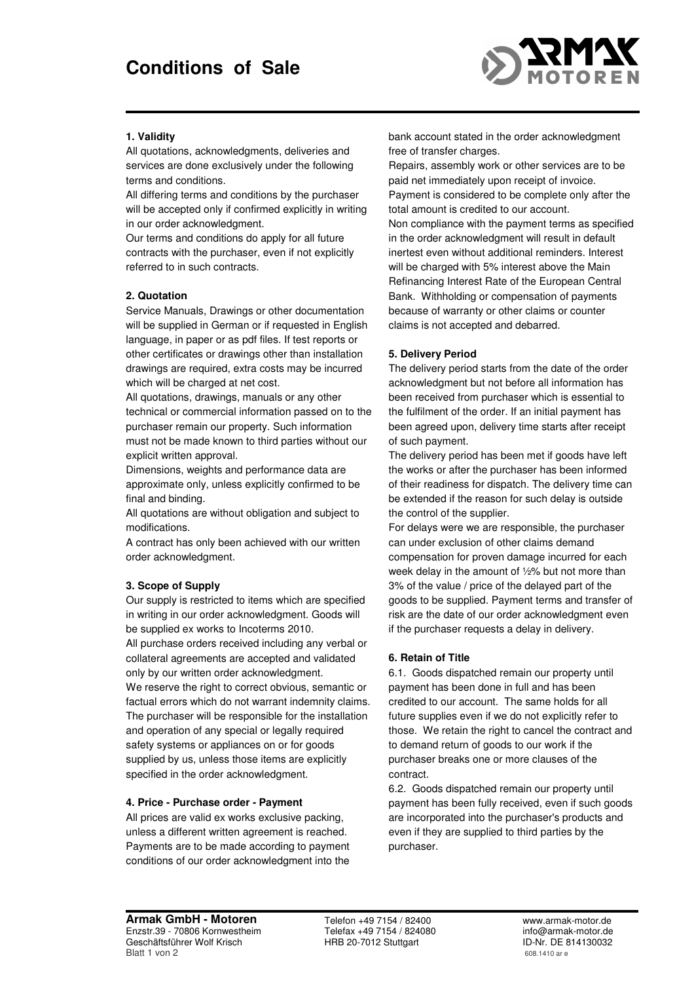

# **1. Validity**

All quotations, acknowledgments, deliveries and services are done exclusively under the following terms and conditions.

All differing terms and conditions by the purchaser will be accepted only if confirmed explicitly in writing in our order acknowledgment.

Our terms and conditions do apply for all future contracts with the purchaser, even if not explicitly referred to in such contracts.

# **2. Quotation**

Service Manuals, Drawings or other documentation will be supplied in German or if requested in English language, in paper or as pdf files. If test reports or other certificates or drawings other than installation drawings are required, extra costs may be incurred which will be charged at net cost.

All quotations, drawings, manuals or any other technical or commercial information passed on to the purchaser remain our property. Such information must not be made known to third parties without our explicit written approval.

Dimensions, weights and performance data are approximate only, unless explicitly confirmed to be final and binding.

All quotations are without obligation and subject to modifications.

A contract has only been achieved with our written order acknowledgment.

## **3. Scope of Supply**

Our supply is restricted to items which are specified in writing in our order acknowledgment. Goods will be supplied ex works to Incoterms 2010.

All purchase orders received including any verbal or collateral agreements are accepted and validated only by our written order acknowledgment. We reserve the right to correct obvious, semantic or factual errors which do not warrant indemnity claims. The purchaser will be responsible for the installation and operation of any special or legally required safety systems or appliances on or for goods supplied by us, unless those items are explicitly specified in the order acknowledgment.

## **4. Price - Purchase order - Payment**

All prices are valid ex works exclusive packing, unless a different written agreement is reached. Payments are to be made according to payment conditions of our order acknowledgment into the bank account stated in the order acknowledgment free of transfer charges.

Repairs, assembly work or other services are to be paid net immediately upon receipt of invoice. Payment is considered to be complete only after the total amount is credited to our account.

Non compliance with the payment terms as specified in the order acknowledgment will result in default inertest even without additional reminders. Interest will be charged with 5% interest above the Main Refinancing Interest Rate of the European Central Bank. Withholding or compensation of payments because of warranty or other claims or counter claims is not accepted and debarred.

## **5. Delivery Period**

The delivery period starts from the date of the order acknowledgment but not before all information has been received from purchaser which is essential to the fulfilment of the order. If an initial payment has been agreed upon, delivery time starts after receipt of such payment.

The delivery period has been met if goods have left the works or after the purchaser has been informed of their readiness for dispatch. The delivery time can be extended if the reason for such delay is outside the control of the supplier.

For delays were we are responsible, the purchaser can under exclusion of other claims demand compensation for proven damage incurred for each week delay in the amount of ½% but not more than 3% of the value / price of the delayed part of the goods to be supplied. Payment terms and transfer of risk are the date of our order acknowledgment even if the purchaser requests a delay in delivery.

## **6. Retain of Title**

6.1. Goods dispatched remain our property until payment has been done in full and has been credited to our account. The same holds for all future supplies even if we do not explicitly refer to those. We retain the right to cancel the contract and to demand return of goods to our work if the purchaser breaks one or more clauses of the contract.

6.2. Goods dispatched remain our property until payment has been fully received, even if such goods are incorporated into the purchaser's products and even if they are supplied to third parties by the purchaser.